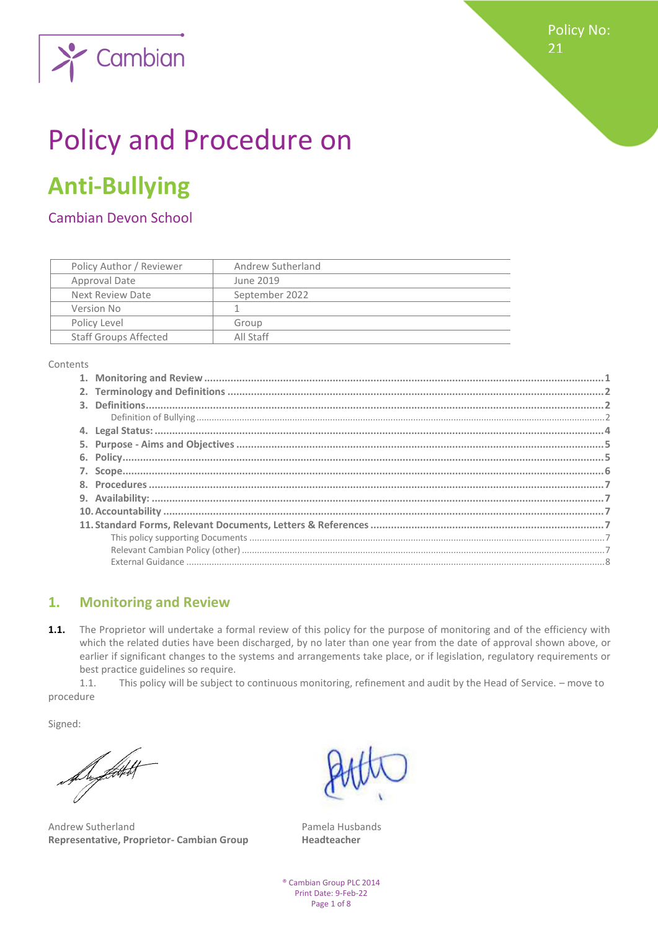

# Policy and Procedure on

## **Anti-Bullying**

Cambian Devon School

| Policy Author / Reviewer     | Andrew Sutherland |
|------------------------------|-------------------|
| Approval Date                | June 2019         |
| Next Review Date             | September 2022    |
| Version No                   |                   |
| Policy Level                 | Group             |
| <b>Staff Groups Affected</b> | All Staff         |

Contents

### <span id="page-0-0"></span>**1. Monitoring and Review**

**1.1.** The Proprietor will undertake a formal review of this policy for the purpose of monitoring and of the efficiency with which the related duties have been discharged, by no later than one year from the date of approval shown above, or earlier if significant changes to the systems and arrangements take place, or if legislation, regulatory requirements or best practice guidelines so require.

1.1. This policy will be subject to continuous monitoring, refinement and audit by the Head of Service. – move to procedure

Signed:

Suptation

Andrew Sutherland **Pamela Husbands Representative, Proprietor- Cambian Group Headteacher**

® Cambian Group PLC 2014 Print Date: 9-Feb-22 Page 1 of 8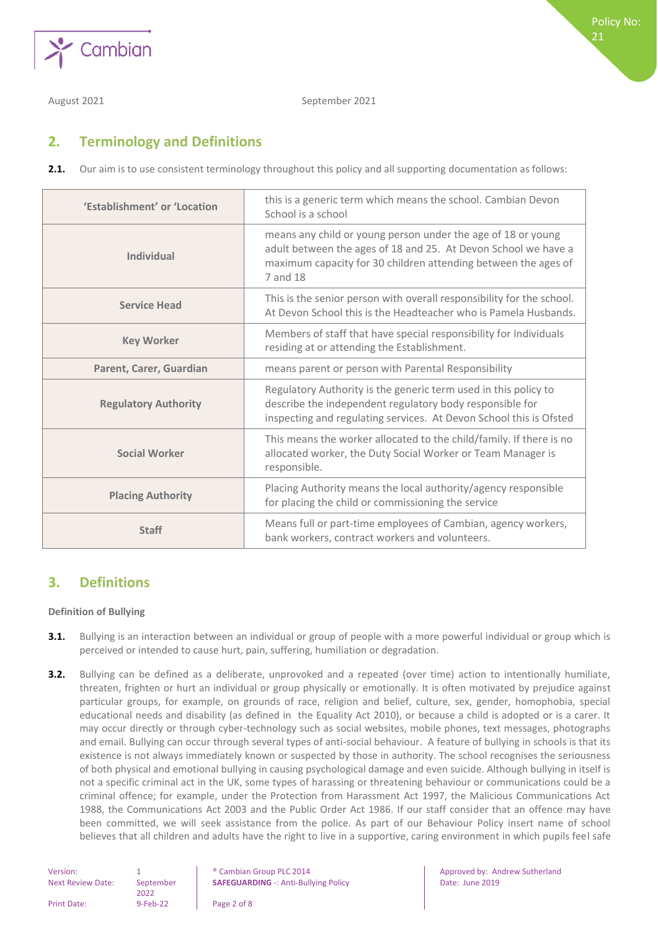

August 2021 **September 2021** 

#### <span id="page-1-0"></span>**2. Terminology and Definitions**

**2.1.** Our aim is to use consistent terminology throughout this policy and all supporting documentation as follows:

| 'Establishment' or 'Location | this is a generic term which means the school. Cambian Devon<br>School is a school                                                                                                                           |
|------------------------------|--------------------------------------------------------------------------------------------------------------------------------------------------------------------------------------------------------------|
| <b>Individual</b>            | means any child or young person under the age of 18 or young<br>adult between the ages of 18 and 25. At Devon School we have a<br>maximum capacity for 30 children attending between the ages of<br>7 and 18 |
| <b>Service Head</b>          | This is the senior person with overall responsibility for the school.<br>At Devon School this is the Headteacher who is Pamela Husbands.                                                                     |
| <b>Key Worker</b>            | Members of staff that have special responsibility for Individuals<br>residing at or attending the Establishment.                                                                                             |
| Parent, Carer, Guardian      | means parent or person with Parental Responsibility                                                                                                                                                          |
| <b>Regulatory Authority</b>  | Regulatory Authority is the generic term used in this policy to<br>describe the independent regulatory body responsible for<br>inspecting and regulating services. At Devon School this is Ofsted            |
| <b>Social Worker</b>         | This means the worker allocated to the child/family. If there is no<br>allocated worker, the Duty Social Worker or Team Manager is<br>responsible.                                                           |
| <b>Placing Authority</b>     | Placing Authority means the local authority/agency responsible<br>for placing the child or commissioning the service                                                                                         |
| <b>Staff</b>                 | Means full or part-time employees of Cambian, agency workers,<br>bank workers, contract workers and volunteers.                                                                                              |

#### <span id="page-1-1"></span>**3. Definitions**

#### <span id="page-1-2"></span>**Definition of Bullying**

- **3.1.** Bullying is an interaction between an individual or group of people with a more powerful individual or group which is perceived or intended to cause hurt, pain, suffering, humiliation or degradation.
- **3.2.** Bullying can be defined as a deliberate, unprovoked and a repeated (over time) action to intentionally humiliate, threaten, frighten or hurt an individual or group physically or emotionally. It is often motivated by prejudice against particular groups, for example, on grounds of race, religion and belief, culture, sex, gender, homophobia, special educational needs and disability (as defined in the Equality Act 2010), or because a child is adopted or is a carer. It may occur directly or through cyber-technology such as social websites, mobile phones, text messages, photographs and email. Bullying can occur through several types of anti-social behaviour. A feature of bullying in schools is that its existence is not always immediately known or suspected by those in authority. The school recognises the seriousness of both physical and emotional bullying in causing psychological damage and even suicide. Although bullying in itself is not a specific criminal act in the UK, some types of harassing or threatening behaviour or communications could be a criminal offence; for example, under the Protection from Harassment Act 1997, the Malicious Communications Act 1988, the Communications Act 2003 and the Public Order Act 1986. If our staff consider that an offence may have been committed, we will seek assistance from the police. As part of our Behaviour Policy insert name of school believes that all children and adults have the right to live in a supportive, caring environment in which pupils feel safe

| Version:                 |                | <sup>®</sup> Cambian Group PLC 2014 |
|--------------------------|----------------|-------------------------------------|
| <b>Next Review Date:</b> | September      | <b>SAFEGUARDING -: Anti-Bully</b>   |
|                          | 2022           |                                     |
| <b>Print Date:</b>       | $9 - Feb - 22$ | Page 2 of 8                         |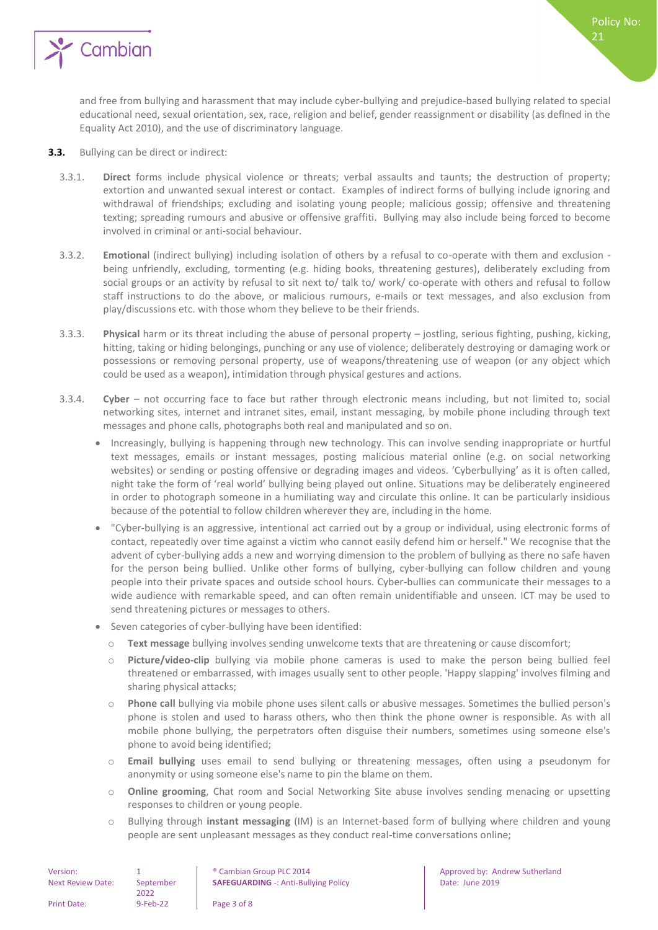

and free from bullying and harassment that may include cyber-bullying and prejudice-based bullying related to special educational need, sexual orientation, sex, race, religion and belief, gender reassignment or disability (as defined in the Equality Act 2010), and the use of discriminatory language.

- **3.3.** Bullying can be direct or indirect:
	- 3.3.1. **Direct** forms include physical violence or threats; verbal assaults and taunts; the destruction of property; extortion and unwanted sexual interest or contact. Examples of indirect forms of bullying include ignoring and withdrawal of friendships; excluding and isolating young people; malicious gossip; offensive and threatening texting; spreading rumours and abusive or offensive graffiti. Bullying may also include being forced to become involved in criminal or anti-social behaviour.
	- 3.3.2. **Emotiona**l (indirect bullying) including isolation of others by a refusal to co-operate with them and exclusion being unfriendly, excluding, tormenting (e.g. hiding books, threatening gestures), deliberately excluding from social groups or an activity by refusal to sit next to/ talk to/ work/ co-operate with others and refusal to follow staff instructions to do the above, or malicious rumours, e-mails or text messages, and also exclusion from play/discussions etc. with those whom they believe to be their friends.
	- 3.3.3. **Physical** harm or its threat including the abuse of personal property jostling, serious fighting, pushing, kicking, hitting, taking or hiding belongings, punching or any use of violence; deliberately destroying or damaging work or possessions or removing personal property, use of weapons/threatening use of weapon (or any object which could be used as a weapon), intimidation through physical gestures and actions.
	- 3.3.4. **Cyber** not occurring face to face but rather through electronic means including, but not limited to, social networking sites, internet and intranet sites, email, instant messaging, by mobile phone including through text messages and phone calls, photographs both real and manipulated and so on.
		- Increasingly, bullying is happening through new technology. This can involve sending inappropriate or hurtful text messages, emails or instant messages, posting malicious material online (e.g. on social networking websites) or sending or posting offensive or degrading images and videos. 'Cyberbullying' as it is often called, night take the form of 'real world' bullying being played out online. Situations may be deliberately engineered in order to photograph someone in a humiliating way and circulate this online. It can be particularly insidious because of the potential to follow children wherever they are, including in the home.
		- "Cyber-bullying is an aggressive, intentional act carried out by a group or individual, using electronic forms of contact, repeatedly over time against a victim who cannot easily defend him or herself." We recognise that the advent of cyber-bullying adds a new and worrying dimension to the problem of bullying as there no safe haven for the person being bullied. Unlike other forms of bullying, cyber-bullying can follow children and young people into their private spaces and outside school hours. Cyber-bullies can communicate their messages to a wide audience with remarkable speed, and can often remain unidentifiable and unseen. ICT may be used to send threatening pictures or messages to others.
		- Seven categories of cyber-bullying have been identified:
			- o **Text message** bullying involves sending unwelcome texts that are threatening or cause discomfort;
			- Picture/video-clip bullying via mobile phone cameras is used to make the person being bullied feel threatened or embarrassed, with images usually sent to other people. 'Happy slapping' involves filming and sharing physical attacks;
			- o **Phone call** bullying via mobile phone uses silent calls or abusive messages. Sometimes the bullied person's phone is stolen and used to harass others, who then think the phone owner is responsible. As with all mobile phone bullying, the perpetrators often disguise their numbers, sometimes using someone else's phone to avoid being identified;
			- o **Email bullying** uses email to send bullying or threatening messages, often using a pseudonym for anonymity or using someone else's name to pin the blame on them.
			- o **Online grooming**, Chat room and Social Networking Site abuse involves sending menacing or upsetting responses to children or young people.
			- o Bullying through **instant messaging** (IM) is an Internet-based form of bullying where children and young people are sent unpleasant messages as they conduct real-time conversations online;

| Version:                 |                   | <sup>®</sup> Cambian Group PLC 2014         |
|--------------------------|-------------------|---------------------------------------------|
| <b>Next Review Date:</b> | September<br>2022 | <b>SAFEGUARDING -: Anti-Bullying Policy</b> |
| Print Date:              | $9$ -Feb-22       | Page 3 of 8                                 |

Approved by: Andrew Sutherland Date: June 2019

Policy No: 21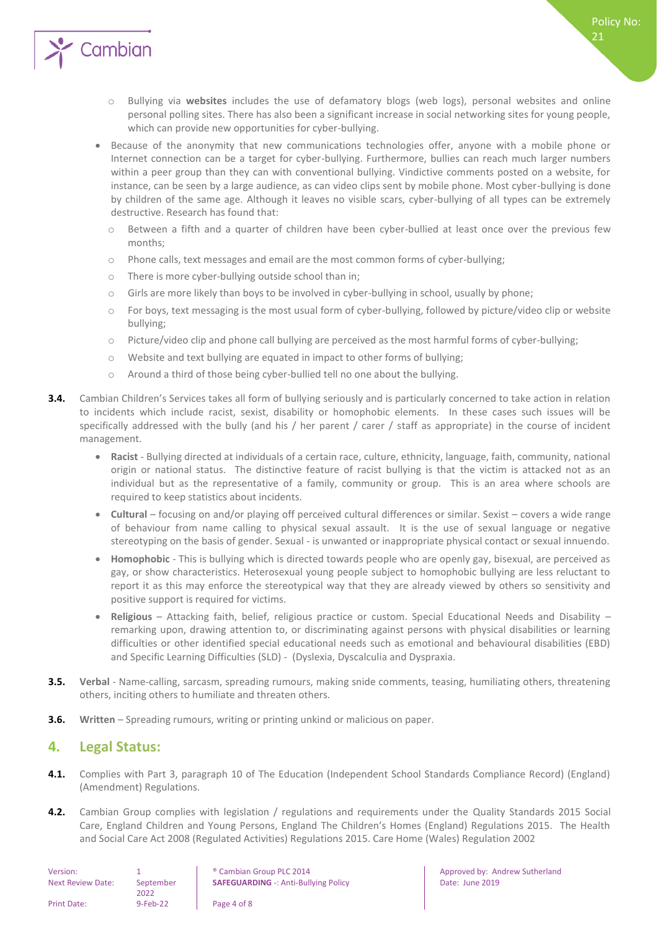

- o Bullying via **websites** includes the use of defamatory blogs (web logs), personal websites and online personal polling sites. There has also been a significant increase in social networking sites for young people, which can provide new opportunities for cyber-bullying.
- Because of the anonymity that new communications technologies offer, anyone with a mobile phone or Internet connection can be a target for cyber-bullying. Furthermore, bullies can reach much larger numbers within a peer group than they can with conventional bullying. Vindictive comments posted on a website, for instance, can be seen by a large audience, as can video clips sent by mobile phone. Most cyber-bullying is done by children of the same age. Although it leaves no visible scars, cyber-bullying of all types can be extremely destructive. Research has found that:
	- o Between a fifth and a quarter of children have been cyber-bullied at least once over the previous few months;
	- o Phone calls, text messages and email are the most common forms of cyber-bullying;
	- o There is more cyber-bullying outside school than in;
	- o Girls are more likely than boys to be involved in cyber-bullying in school, usually by phone;
	- o For boys, text messaging is the most usual form of cyber-bullying, followed by picture/video clip or website bullying;
	- o Picture/video clip and phone call bullying are perceived as the most harmful forms of cyber-bullying;
	- o Website and text bullying are equated in impact to other forms of bullying;
	- o Around a third of those being cyber-bullied tell no one about the bullying.
- **3.4.** Cambian Children's Services takes all form of bullying seriously and is particularly concerned to take action in relation to incidents which include racist, sexist, disability or homophobic elements. In these cases such issues will be specifically addressed with the bully (and his / her parent / carer / staff as appropriate) in the course of incident management.
	- **Racist**  Bullying directed at individuals of a certain race, culture, ethnicity, language, faith, community, national origin or national status. The distinctive feature of racist bullying is that the victim is attacked not as an individual but as the representative of a family, community or group. This is an area where schools are required to keep statistics about incidents.
	- **Cultural** focusing on and/or playing off perceived cultural differences or similar. Sexist covers a wide range of behaviour from name calling to physical sexual assault. It is the use of sexual language or negative stereotyping on the basis of gender. Sexual - is unwanted or inappropriate physical contact or sexual innuendo.
	- **Homophobic** This is bullying which is directed towards people who are openly gay, bisexual, are perceived as gay, or show characteristics. Heterosexual young people subject to homophobic bullying are less reluctant to report it as this may enforce the stereotypical way that they are already viewed by others so sensitivity and positive support is required for victims.
	- **Religious** Attacking faith, belief, religious practice or custom. Special Educational Needs and Disability remarking upon, drawing attention to, or discriminating against persons with physical disabilities or learning difficulties or other identified special educational needs such as emotional and behavioural disabilities (EBD) and Specific Learning Difficulties (SLD) - (Dyslexia, Dyscalculia and Dyspraxia.
- **3.5. Verbal** Name-calling, sarcasm, spreading rumours, making snide comments, teasing, humiliating others, threatening others, inciting others to humiliate and threaten others.
- <span id="page-3-0"></span>**3.6. Written** – Spreading rumours, writing or printing unkind or malicious on paper.

#### **4. Legal Status:**

- **4.1.** Complies with Part 3, paragraph 10 of The Education (Independent School Standards Compliance Record) (England) (Amendment) Regulations.
- **4.2.** Cambian Group complies with legislation / regulations and requirements under the Quality Standards 2015 Social Care, England Children and Young Persons, England The Children's Homes (England) Regulations 2015. The Health and Social Care Act 2008 (Regulated Activities) Regulations 2015. Care Home (Wales) Regulation 2002

| Version:                 |                   | <sup>®</sup> Cambian Group PLC 2014         |
|--------------------------|-------------------|---------------------------------------------|
| <b>Next Review Date:</b> | September<br>2022 | <b>SAFEGUARDING -: Anti-Bullying Policy</b> |
| Print Date:              | $9 - Feb - 22$    | Page 4 of 8                                 |

Approved by: Andrew Sutherland Date: June 2019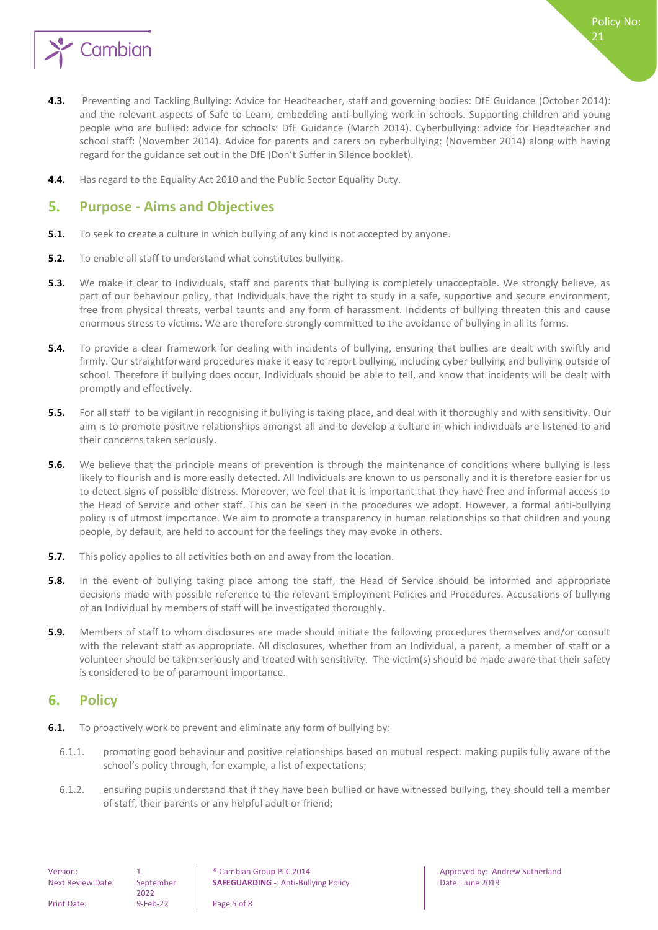

- **4.3.** Preventing and Tackling Bullying: Advice for Headteacher, staff and governing bodies: DfE Guidance (October 2014): and the relevant aspects of Safe to Learn, embedding anti-bullying work in schools. Supporting children and young people who are bullied: advice for schools: DfE Guidance (March 2014). Cyberbullying: advice for Headteacher and school staff: (November 2014). Advice for parents and carers on cyberbullying: (November 2014) along with having regard for the guidance set out in the DfE (Don't Suffer in Silence booklet).
- **4.4.** Has regard to the Equality Act 2010 and the Public Sector Equality Duty.

#### <span id="page-4-0"></span>**5. Purpose - Aims and Objectives**

- **5.1.** To seek to create a culture in which bullying of any kind is not accepted by anyone.
- **5.2.** To enable all staff to understand what constitutes bullying.
- **5.3.** We make it clear to Individuals, staff and parents that bullying is completely unacceptable. We strongly believe, as part of our behaviour policy, that Individuals have the right to study in a safe, supportive and secure environment, free from physical threats, verbal taunts and any form of harassment. Incidents of bullying threaten this and cause enormous stress to victims. We are therefore strongly committed to the avoidance of bullying in all its forms.
- **5.4.** To provide a clear framework for dealing with incidents of bullying, ensuring that bullies are dealt with swiftly and firmly. Our straightforward procedures make it easy to report bullying, including cyber bullying and bullying outside of school. Therefore if bullying does occur, Individuals should be able to tell, and know that incidents will be dealt with promptly and effectively.
- **5.5.** For all staff to be vigilant in recognising if bullying is taking place, and deal with it thoroughly and with sensitivity. Our aim is to promote positive relationships amongst all and to develop a culture in which individuals are listened to and their concerns taken seriously.
- **5.6.** We believe that the principle means of prevention is through the maintenance of conditions where bullying is less likely to flourish and is more easily detected. All Individuals are known to us personally and it is therefore easier for us to detect signs of possible distress. Moreover, we feel that it is important that they have free and informal access to the Head of Service and other staff. This can be seen in the procedures we adopt. However, a formal anti-bullying policy is of utmost importance. We aim to promote a transparency in human relationships so that children and young people, by default, are held to account for the feelings they may evoke in others.
- **5.7.** This policy applies to all activities both on and away from the location.
- **5.8.** In the event of bullying taking place among the staff, the Head of Service should be informed and appropriate decisions made with possible reference to the relevant Employment Policies and Procedures. Accusations of bullying of an Individual by members of staff will be investigated thoroughly.
- **5.9.** Members of staff to whom disclosures are made should initiate the following procedures themselves and/or consult with the relevant staff as appropriate. All disclosures, whether from an Individual, a parent, a member of staff or a volunteer should be taken seriously and treated with sensitivity. The victim(s) should be made aware that their safety is considered to be of paramount importance.

### <span id="page-4-1"></span>**6. Policy**

- **6.1.** To proactively work to prevent and eliminate any form of bullying by:
	- 6.1.1. promoting good behaviour and positive relationships based on mutual respect. making pupils fully aware of the school's policy through, for example, a list of expectations;
	- 6.1.2. ensuring pupils understand that if they have been bullied or have witnessed bullying, they should tell a member of staff, their parents or any helpful adult or friend;

21

Policy No: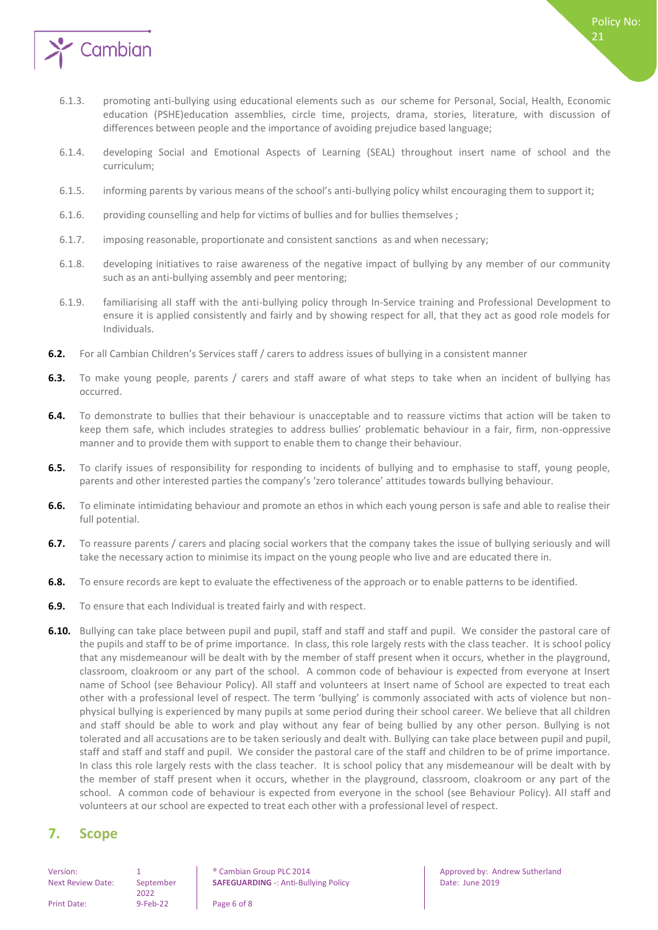

- 6.1.3. promoting anti-bullying using educational elements such as our scheme for Personal, Social, Health, Economic education (PSHE)education assemblies, circle time, projects, drama, stories, literature, with discussion of differences between people and the importance of avoiding prejudice based language;
- 6.1.4. developing Social and Emotional Aspects of Learning (SEAL) throughout insert name of school and the curriculum;
- 6.1.5. informing parents by various means of the school's anti-bullying policy whilst encouraging them to support it;
- 6.1.6. providing counselling and help for victims of bullies and for bullies themselves ;
- 6.1.7. imposing reasonable, proportionate and consistent sanctions as and when necessary;
- 6.1.8. developing initiatives to raise awareness of the negative impact of bullying by any member of our community such as an anti-bullying assembly and peer mentoring;
- 6.1.9. familiarising all staff with the anti-bullying policy through In-Service training and Professional Development to ensure it is applied consistently and fairly and by showing respect for all, that they act as good role models for Individuals.
- **6.2.** For all Cambian Children's Services staff / carers to address issues of bullying in a consistent manner
- **6.3.** To make young people, parents / carers and staff aware of what steps to take when an incident of bullying has occurred.
- **6.4.** To demonstrate to bullies that their behaviour is unacceptable and to reassure victims that action will be taken to keep them safe, which includes strategies to address bullies' problematic behaviour in a fair, firm, non-oppressive manner and to provide them with support to enable them to change their behaviour.
- **6.5.** To clarify issues of responsibility for responding to incidents of bullying and to emphasise to staff, young people, parents and other interested parties the company's 'zero tolerance' attitudes towards bullying behaviour.
- **6.6.** To eliminate intimidating behaviour and promote an ethos in which each young person is safe and able to realise their full potential.
- **6.7.** To reassure parents / carers and placing social workers that the company takes the issue of bullying seriously and will take the necessary action to minimise its impact on the young people who live and are educated there in.
- **6.8.** To ensure records are kept to evaluate the effectiveness of the approach or to enable patterns to be identified.
- **6.9.** To ensure that each Individual is treated fairly and with respect.
- **6.10.** Bullying can take place between pupil and pupil, staff and staff and staff and pupil. We consider the pastoral care of the pupils and staff to be of prime importance. In class, this role largely rests with the class teacher. It is school policy that any misdemeanour will be dealt with by the member of staff present when it occurs, whether in the playground, classroom, cloakroom or any part of the school. A common code of behaviour is expected from everyone at Insert name of School (see Behaviour Policy). All staff and volunteers at Insert name of School are expected to treat each other with a professional level of respect. The term 'bullying' is commonly associated with acts of violence but nonphysical bullying is experienced by many pupils at some period during their school career. We believe that all children and staff should be able to work and play without any fear of being bullied by any other person. Bullying is not tolerated and all accusations are to be taken seriously and dealt with. Bullying can take place between pupil and pupil, staff and staff and staff and pupil. We consider the pastoral care of the staff and children to be of prime importance. In class this role largely rests with the class teacher. It is school policy that any misdemeanour will be dealt with by the member of staff present when it occurs, whether in the playground, classroom, cloakroom or any part of the school. A common code of behaviour is expected from everyone in the school (see Behaviour Policy). All staff and volunteers at our school are expected to treat each other with a professional level of respect.

#### <span id="page-5-0"></span>**7. Scope**

Next Review Date: September

2022

Version: 1 1 8 | ® Cambian Group PLC 2014 | Approved by: Andrew Sutherland **SAFEGUARDING** -: Anti-Bullying Policy **Date: University Policy** Date: June 2019

Policy No:

 $21$ 

Print Date: 9-Feb-22 Page 6 of 8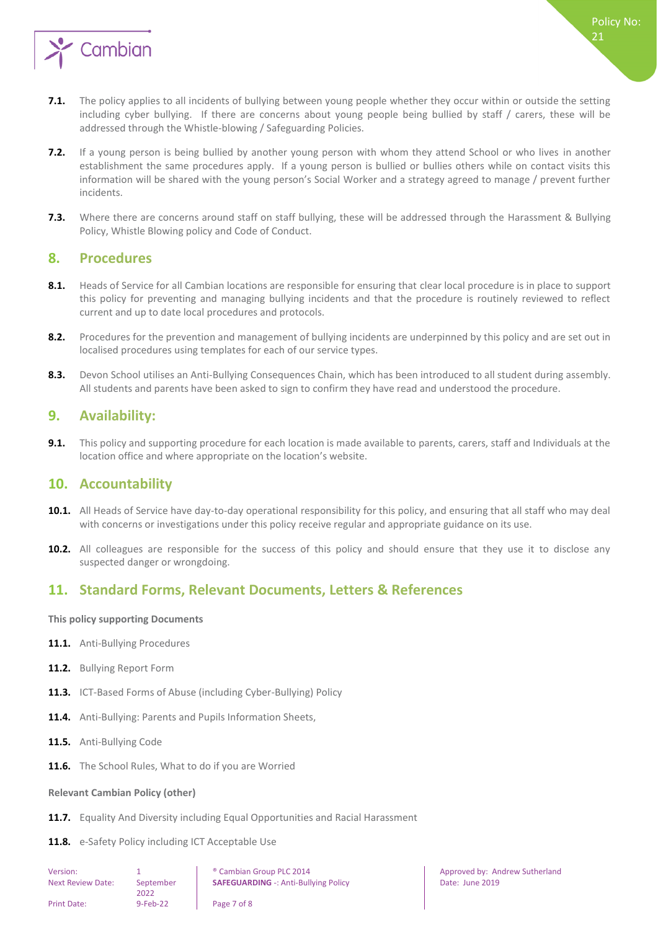

- **7.1.** The policy applies to all incidents of bullying between young people whether they occur within or outside the setting including cyber bullying. If there are concerns about young people being bullied by staff / carers, these will be addressed through the Whistle-blowing / Safeguarding Policies.
- **7.2.** If a young person is being bullied by another young person with whom they attend School or who lives in another establishment the same procedures apply. If a young person is bullied or bullies others while on contact visits this information will be shared with the young person's Social Worker and a strategy agreed to manage / prevent further incidents.
- **7.3.** Where there are concerns around staff on staff bullying, these will be addressed through the Harassment & Bullying Policy, Whistle Blowing policy and Code of Conduct.

#### <span id="page-6-0"></span>**8. Procedures**

- **8.1.** Heads of Service for all Cambian locations are responsible for ensuring that clear local procedure is in place to support this policy for preventing and managing bullying incidents and that the procedure is routinely reviewed to reflect current and up to date local procedures and protocols.
- **8.2.** Procedures for the prevention and management of bullying incidents are underpinned by this policy and are set out in localised procedures using templates for each of our service types.
- **8.3.** Devon School utilises an Anti-Bullying Consequences Chain, which has been introduced to all student during assembly. All students and parents have been asked to sign to confirm they have read and understood the procedure.

#### <span id="page-6-1"></span>**9. Availability:**

**9.1.** This policy and supporting procedure for each location is made available to parents, carers, staff and Individuals at the location office and where appropriate on the location's website.

#### <span id="page-6-2"></span>**10. Accountability**

- **10.1.** All Heads of Service have day-to-day operational responsibility for this policy, and ensuring that all staff who may deal with concerns or investigations under this policy receive regular and appropriate guidance on its use.
- **10.2.** All colleagues are responsible for the success of this policy and should ensure that they use it to disclose any suspected danger or wrongdoing.

### <span id="page-6-3"></span>**11. Standard Forms, Relevant Documents, Letters & References**

<span id="page-6-4"></span>**This policy supporting Documents**

- 11.1. Anti-Bullying Procedures
- **11.2.** Bullying Report Form
- **11.3.** ICT-Based Forms of Abuse (including Cyber-Bullying) Policy
- **11.4.** Anti-Bullying: Parents and Pupils Information Sheets,
- **11.5.** Anti-Bullying Code
- <span id="page-6-5"></span>**11.6.** The School Rules, What to do if you are Worried

#### **Relevant Cambian Policy (other)**

- **11.7.** Equality And Diversity including Equal Opportunities and Racial Harassment
- 11.8. e-Safety Policy including ICT Acceptable Use

| Version:                 |                   | <sup>®</sup> Cambian Group PLC 2014         |
|--------------------------|-------------------|---------------------------------------------|
| <b>Next Review Date:</b> | September<br>2022 | <b>SAFEGUARDING -: Anti-Bullying Policy</b> |
| <b>Print Date:</b>       | $9 - Feb - 22$    | Page 7 of 8                                 |

Approved by: Andrew Sutherland Date: June 2019